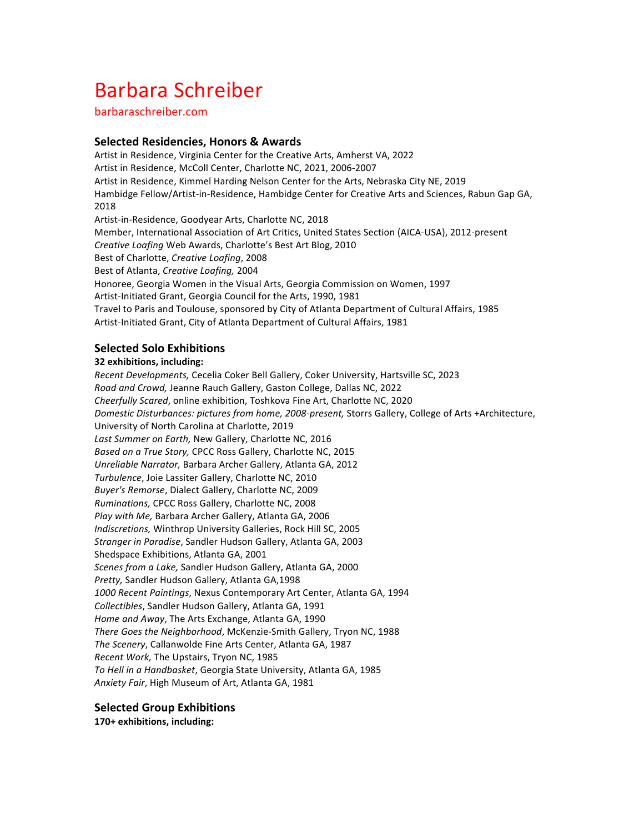# Barbara Schreiber

barbaraschreiber.com

## **Selected Residencies, Honors & Awards**

Artist in Residence, Virginia Center for the Creative Arts, Amherst VA, 2022 Artist in Residence, McColl Center, Charlotte NC, 2021, 2006-2007 Artist in Residence, Kimmel Harding Nelson Center for the Arts, Nebraska City NE, 2019 Hambidge Fellow/Artist-in-Residence, Hambidge Center for Creative Arts and Sciences, Rabun Gap GA, 2018 Artist-in-Residence, Goodyear Arts, Charlotte NC, 2018 Member, International Association of Art Critics, United States Section (AICA-USA), 2012-present *Creative Loafing* Web Awards, Charlotte's Best Art Blog, 2010 Best of Charlotte, *Creative Loafing*, 2008 Best of Atlanta, *Creative Loafing*, 2004 Honoree, Georgia Women in the Visual Arts, Georgia Commission on Women, 1997 Artist-Initiated Grant, Georgia Council for the Arts, 1990, 1981 Travel to Paris and Toulouse, sponsored by City of Atlanta Department of Cultural Affairs, 1985 Artist-Initiated Grant, City of Atlanta Department of Cultural Affairs, 1981

## **Selected Solo Exhibitions**

#### **32 exhibitions, including:**

Recent Developments, Cecelia Coker Bell Gallery, Coker University, Hartsville SC, 2023 Road and Crowd, Jeanne Rauch Gallery, Gaston College, Dallas NC, 2022 *Cheerfully Scared*, online exhibition, Toshkova Fine Art, Charlotte NC, 2020 *Domestic Disturbances: pictures from home, 2008-present, Storrs Gallery, College of Arts +Architecture,* University of North Carolina at Charlotte, 2019 Last Summer on Earth, New Gallery, Charlotte NC, 2016 Based on a True Story, CPCC Ross Gallery, Charlotte NC, 2015 Unreliable Narrator, Barbara Archer Gallery, Atlanta GA, 2012 *Turbulence*, Joie Lassiter Gallery, Charlotte NC, 2010 Buyer's Remorse, Dialect Gallery, Charlotte NC, 2009 *Ruminations,* CPCC Ross Gallery, Charlotte NC, 2008 Play with Me, Barbara Archer Gallery, Atlanta GA, 2006 *Indiscretions,* Winthrop University Galleries, Rock Hill SC, 2005 Stranger in Paradise, Sandler Hudson Gallery, Atlanta GA, 2003 Shedspace Exhibitions, Atlanta GA, 2001 Scenes from a Lake, Sandler Hudson Gallery, Atlanta GA, 2000 Pretty, Sandler Hudson Gallery, Atlanta GA,1998 *1000 Recent Paintings*, Nexus Contemporary Art Center, Atlanta GA, 1994 *Collectibles*, Sandler Hudson Gallery, Atlanta GA, 1991 *Home and Away*, The Arts Exchange, Atlanta GA, 1990 There Goes the Neighborhood, McKenzie-Smith Gallery, Tryon NC, 1988 The Scenery, Callanwolde Fine Arts Center, Atlanta GA, 1987 *Recent Work,* The Upstairs, Tryon NC, 1985 To Hell in a Handbasket, Georgia State University, Atlanta GA, 1985 Anxiety Fair, High Museum of Art, Atlanta GA, 1981

#### **Selected Group Exhibitions**

170+ exhibitions, including: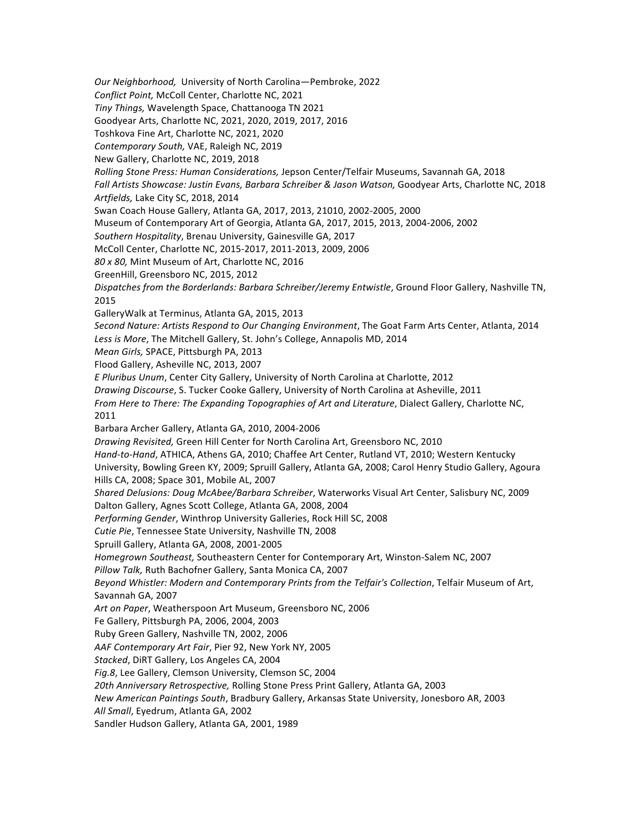Our Neighborhood, University of North Carolina-Pembroke, 2022 Conflict Point, McColl Center, Charlotte NC, 2021 *Tiny Things,* Wavelength Space, Chattanooga TN 2021 Goodyear Arts, Charlotte NC, 2021, 2020, 2019, 2017, 2016 Toshkova Fine Art, Charlotte NC, 2021, 2020 *Contemporary South, VAE, Raleigh NC, 2019* New Gallery, Charlotte NC, 2019, 2018 Rolling Stone Press: Human Considerations, Jepson Center/Telfair Museums, Savannah GA, 2018 Fall Artists Showcase: Justin Evans, Barbara Schreiber & Jason Watson, Goodyear Arts, Charlotte NC, 2018 *Artfields,* Lake City SC, 2018, 2014 Swan Coach House Gallery, Atlanta GA, 2017, 2013, 21010, 2002-2005, 2000 Museum of Contemporary Art of Georgia, Atlanta GA, 2017, 2015, 2013, 2004-2006, 2002 Southern Hospitality, Brenau University, Gainesville GA, 2017 McColl Center, Charlotte NC, 2015-2017, 2011-2013, 2009, 2006 *80 x 80,* Mint Museum of Art, Charlotte NC, 2016 GreenHill, Greensboro NC, 2015, 2012 Dispatches from the Borderlands: Barbara Schreiber/Jeremy Entwistle, Ground Floor Gallery, Nashville TN, 2015 GalleryWalk at Terminus, Atlanta GA, 2015, 2013 *Second Nature: Artists Respond to Our Changing Environment*, The Goat Farm Arts Center, Atlanta, 2014 Less is More, The Mitchell Gallery, St. John's College, Annapolis MD, 2014 *Mean Girls, SPACE, Pittsburgh PA, 2013* Flood Gallery, Asheville NC, 2013, 2007 *E* Pluribus Unum, Center City Gallery, University of North Carolina at Charlotte, 2012 *Drawing Discourse*, S. Tucker Cooke Gallery, University of North Carolina at Asheville, 2011 *From Here to There: The Expanding Topographies of Art and Literature, Dialect Gallery, Charlotte NC,* 2011 Barbara Archer Gallery, Atlanta GA, 2010, 2004-2006 *Drawing Revisited, Green Hill Center for North Carolina Art, Greensboro NC, 2010* Hand-to-Hand, ATHICA, Athens GA, 2010; Chaffee Art Center, Rutland VT, 2010; Western Kentucky University, Bowling Green KY, 2009; Spruill Gallery, Atlanta GA, 2008; Carol Henry Studio Gallery, Agoura Hills CA, 2008; Space 301, Mobile AL, 2007 *Shared Delusions: Doug McAbee/Barbara Schreiber*, Waterworks Visual Art Center, Salisbury NC, 2009 Dalton Gallery, Agnes Scott College, Atlanta GA, 2008, 2004 Performing Gender, Winthrop University Galleries, Rock Hill SC, 2008 Cutie Pie, Tennessee State University, Nashville TN, 2008 Spruill Gallery, Atlanta GA, 2008, 2001-2005 Homegrown Southeast, Southeastern Center for Contemporary Art, Winston-Salem NC, 2007 Pillow Talk, Ruth Bachofner Gallery, Santa Monica CA, 2007 Beyond Whistler: Modern and Contemporary Prints from the Telfair's Collection, Telfair Museum of Art, Savannah GA, 2007 Art on Paper, Weatherspoon Art Museum, Greensboro NC, 2006 Fe Gallery, Pittsburgh PA, 2006, 2004, 2003 Ruby Green Gallery, Nashville TN, 2002, 2006 AAF Contemporary Art Fair, Pier 92, New York NY, 2005 Stacked, DiRT Gallery, Los Angeles CA, 2004 Fig.8, Lee Gallery, Clemson University, Clemson SC, 2004 *20th Anniversary Retrospective,* Rolling Stone Press Print Gallery, Atlanta GA, 2003 *New American Paintings South*, Bradbury Gallery, Arkansas State University, Jonesboro AR, 2003 All Small, Eyedrum, Atlanta GA, 2002 Sandler Hudson Gallery, Atlanta GA, 2001, 1989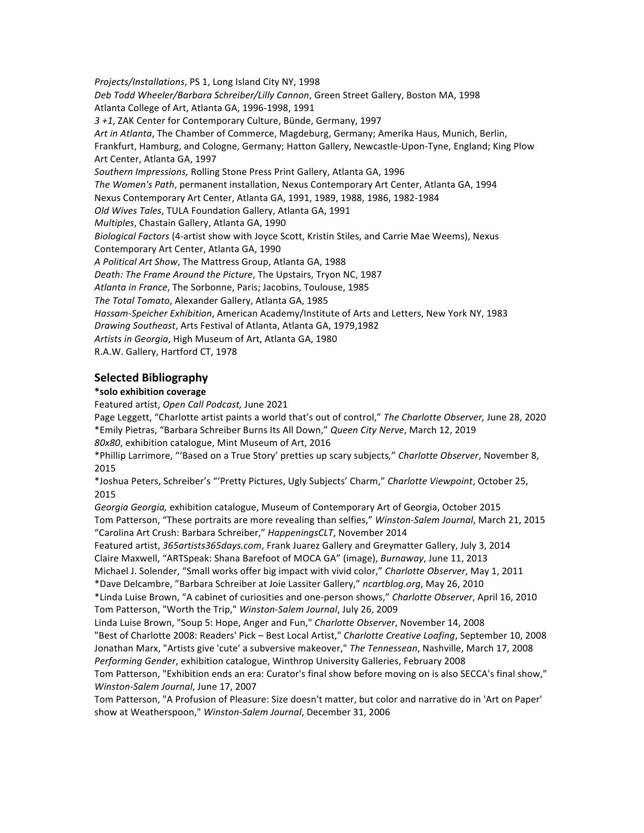Projects/Installations, PS 1, Long Island City NY, 1998 Deb Todd Wheeler/Barbara Schreiber/Lilly Cannon, Green Street Gallery, Boston MA, 1998 Atlanta College of Art, Atlanta GA, 1996-1998, 1991 3 +1, ZAK Center for Contemporary Culture, Bünde, Germany, 1997 Art in Atlanta, The Chamber of Commerce, Magdeburg, Germany; Amerika Haus, Munich, Berlin, Frankfurt, Hamburg, and Cologne, Germany; Hatton Gallery, Newcastle-Upon-Tyne, England; King Plow Art Center, Atlanta GA, 1997 Southern Impressions, Rolling Stone Press Print Gallery, Atlanta GA, 1996 The Women's Path, permanent installation, Nexus Contemporary Art Center, Atlanta GA, 1994 Nexus Contemporary Art Center, Atlanta GA, 1991, 1989, 1988, 1986, 1982-1984 *Old Wives Tales, TULA Foundation Gallery, Atlanta GA, 1991 Multiples*, Chastain Gallery, Atlanta GA, 1990 Biological Factors (4-artist show with Joyce Scott, Kristin Stiles, and Carrie Mae Weems), Nexus Contemporary Art Center, Atlanta GA, 1990 *A Political Art Show*, The Mattress Group, Atlanta GA, 1988 Death: The Frame Around the Picture, The Upstairs, Tryon NC, 1987 Atlanta in France, The Sorbonne, Paris; Jacobins, Toulouse, 1985 The Total Tomato, Alexander Gallery, Atlanta GA, 1985 Hassam-Speicher Exhibition, American Academy/Institute of Arts and Letters, New York NY, 1983 *Drawing Southeast*, Arts Festival of Atlanta, Atlanta GA, 1979,1982 Artists in Georgia, High Museum of Art, Atlanta GA, 1980 R.A.W. Gallery, Hartford CT, 1978

## **Selected Bibliography**

#### **\*solo exhibition coverage**

Featured artist, Open Call Podcast, June 2021

Page Leggett, "Charlotte artist paints a world that's out of control," The Charlotte Observer, June 28, 2020 \*Emily Pietras, "Barbara Schreiber Burns Its All Down," *Queen City Nerve*, March 12, 2019 80x80, exhibition catalogue, Mint Museum of Art, 2016

\*Phillip Larrimore, "'Based on a True Story' pretties up scary subjects*,*" *Charlotte Observer*, November 8, 2015

\*Joshua Peters, Schreiber's "'Pretty Pictures, Ugly Subjects' Charm," *Charlotte Viewpoint*, October 25, 2015

Georgia Georgia, exhibition catalogue, Museum of Contemporary Art of Georgia, October 2015 Tom Patterson, "These portraits are more revealing than selfies," Winston-Salem Journal, March 21, 2015 "Carolina Art Crush: Barbara Schreiber," HappeningsCLT, November 2014

Featured artist, 365artists365days.com, Frank Juarez Gallery and Greymatter Gallery, July 3, 2014 Claire Maxwell, "ARTSpeak: Shana Barefoot of MOCA GA" (image), *Burnaway*, June 11, 2013 Michael J. Solender, "Small works offer big impact with vivid color," *Charlotte Observer*, May 1, 2011

\*Dave Delcambre, "Barbara Schreiber at Joie Lassiter Gallery," *ncartblog.org*, May 26, 2010

\*Linda Luise Brown, "A cabinet of curiosities and one-person shows," *Charlotte Observer*, April 16, 2010 Tom Patterson, "Worth the Trip," Winston-Salem Journal, July 26, 2009

Linda Luise Brown, "Soup 5: Hope, Anger and Fun," *Charlotte Observer*, November 14, 2008 "Best of Charlotte 2008: Readers' Pick - Best Local Artist," Charlotte Creative Loafing, September 10, 2008 Jonathan Marx, "Artists give 'cute' a subversive makeover," The Tennessean, Nashville, March 17, 2008 Performing Gender, exhibition catalogue, Winthrop University Galleries, February 2008

Tom Patterson, "Exhibition ends an era: Curator's final show before moving on is also SECCA's final show," *Winston-Salem Journal*, June 17, 2007

Tom Patterson, "A Profusion of Pleasure: Size doesn't matter, but color and narrative do in 'Art on Paper' show at Weatherspoon," Winston-Salem Journal, December 31, 2006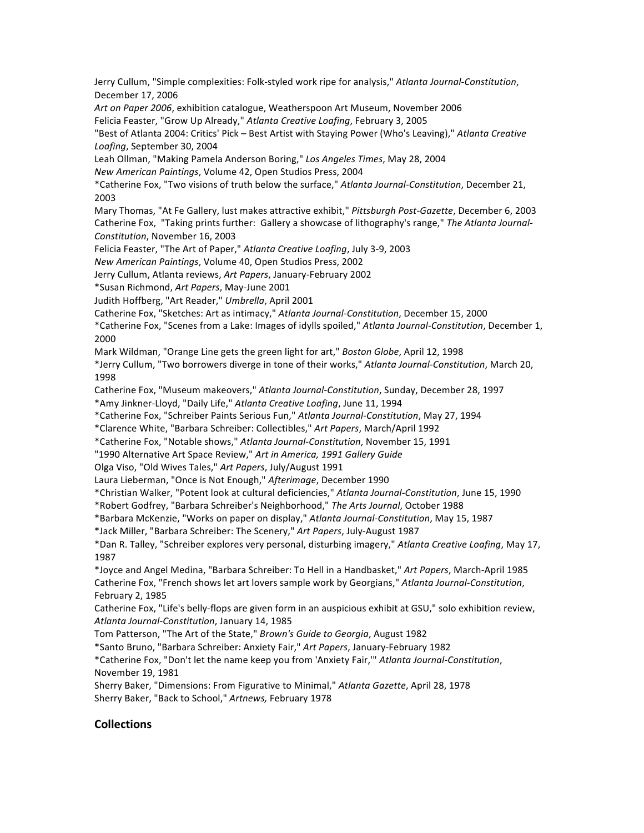Jerry Cullum, "Simple complexities: Folk-styled work ripe for analysis," Atlanta Journal-Constitution, December 17, 2006

Art on Paper 2006, exhibition catalogue, Weatherspoon Art Museum, November 2006

Felicia Feaster, "Grow Up Already," Atlanta Creative Loafing, February 3, 2005

"Best of Atlanta 2004: Critics' Pick - Best Artist with Staying Power (Who's Leaving)," Atlanta Creative Loafing, September 30, 2004

Leah Ollman, "Making Pamela Anderson Boring," Los Angeles Times, May 28, 2004

*New American Paintings*, Volume 42, Open Studios Press, 2004

\*Catherine Fox, "Two visions of truth below the surface," *Atlanta Journal-Constitution*, December 21, 2003

Mary Thomas, "At Fe Gallery, lust makes attractive exhibit," *Pittsburgh Post-Gazette*, December 6, 2003 Catherine Fox, "Taking prints further: Gallery a showcase of lithography's range," The Atlanta Journal-*Constitution*, November 16, 2003

Felicia Feaster, "The Art of Paper," Atlanta Creative Loafing, July 3-9, 2003

*New American Paintings*, Volume 40, Open Studios Press, 2002

Jerry Cullum, Atlanta reviews, Art Papers, January-February 2002

\*Susan Richmond, *Art Papers*, May-June 2001

Judith Hoffberg, "Art Reader," Umbrella, April 2001

Catherine Fox, "Sketches: Art as intimacy," *Atlanta Journal-Constitution*, December 15, 2000

\*Catherine Fox, "Scenes from a Lake: Images of idylls spoiled," *Atlanta Journal-Constitution*, December 1, 2000

Mark Wildman, "Orange Line gets the green light for art," Boston Globe, April 12, 1998

\*Jerry Cullum, "Two borrowers diverge in tone of their works," *Atlanta Journal-Constitution*, March 20, 1998

Catherine Fox, "Museum makeovers," Atlanta Journal-Constitution, Sunday, December 28, 1997

\*Amy Jinkner-Lloyd, "Daily Life," *Atlanta Creative Loafing*, June 11, 1994

\*Catherine Fox, "Schreiber Paints Serious Fun," *Atlanta Journal-Constitution*, May 27, 1994

\*Clarence White, "Barbara Schreiber: Collectibles," *Art Papers*, March/April 1992

\*Catherine Fox, "Notable shows," *Atlanta Journal-Constitution*, November 15, 1991

"1990 Alternative Art Space Review," Art in America, 1991 Gallery Guide

Olga Viso, "Old Wives Tales," *Art Papers*, July/August 1991 

Laura Lieberman, "Once is Not Enough," Afterimage, December 1990

\*Christian Walker, "Potent look at cultural deficiencies," *Atlanta Journal-Constitution*, June 15, 1990

\*Robert Godfrey, "Barbara Schreiber's Neighborhood," *The Arts Journal*, October 1988

\*Barbara McKenzie, "Works on paper on display," *Atlanta Journal-Constitution*, May 15, 1987

\*Jack Miller, "Barbara Schreiber: The Scenery," *Art Papers*, July-August 1987

\*Dan R. Talley, "Schreiber explores very personal, disturbing imagery," *Atlanta Creative Loafing*, May 17, 1987

\*Joyce and Angel Medina, "Barbara Schreiber: To Hell in a Handbasket," *Art Papers*, March-April 1985 Catherine Fox, "French shows let art lovers sample work by Georgians," Atlanta Journal-Constitution, February 2, 1985

Catherine Fox, "Life's belly-flops are given form in an auspicious exhibit at GSU," solo exhibition review, *Atlanta Journal-Constitution*, January 14, 1985

Tom Patterson, "The Art of the State," *Brown's Guide to Georgia*, August 1982

\*Santo Bruno, "Barbara Schreiber: Anxiety Fair," *Art Papers*, January-February 1982

\*Catherine Fox, "Don't let the name keep you from 'Anxiety Fair,'" Atlanta Journal-Constitution, November 19, 1981

Sherry Baker, "Dimensions: From Figurative to Minimal," *Atlanta Gazette*, April 28, 1978 Sherry Baker, "Back to School," *Artnews,* February 1978

## **Collections**